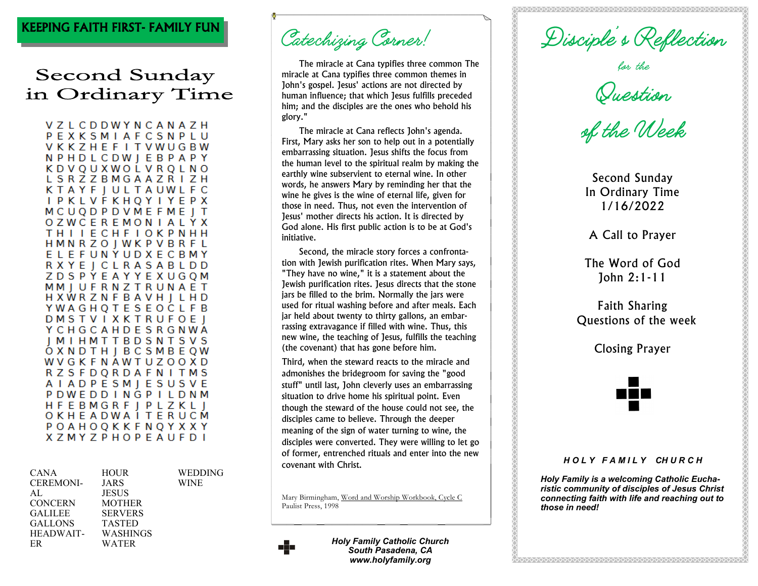## KEEPING FAITH FIRST- FAMILY FUN

## Second Sunday in Ordinary Time

VZLCDDWYNCANAZH PEXKSMIAFCSNPLU **VKKZHEFITVWUGBW NPHDLCDWIEBPAPY KDVOUXWOLVROLNO** L S R Z Z B M G A A Z R I Z H KTAYF | ULTAUWLFC **I P K L V F K H Q Y I Y E P X MCUODPDVMEFMEIT OZWCEREMONIALYX THIIECHFIOKPNHH HMNRZOJWKPVBRFL** ELEFUNYUDXECBMY RXYE | CLRASABLDD **ZDSPYEAYYEXUGOM** MMIUFRNZTRUNAET HXWRZNFBAVH | LHD **YWAGHQTESEOCLFB DMSTVIXKTRUFOEI Y C H G C A H D E S R G N W A IMIHMTTBDSNTSVS** OXNDTH | BCSMBEQW WVGKFNAWTUZOOXD **RZSFDQRDAFNITMS** A I A D P E S M J E S U S V E PDWEDDINGPILDNM **HFEBMGRF | PLZKL |** OKHEADWAITERUCM POAHOQKKFNQYXXY **XZMYZPHOPEAUFDI** 

| <b>CANA</b>      | <b>HOUR</b>    | WEDDING     |
|------------------|----------------|-------------|
| <b>CEREMONI-</b> |                | <b>WINE</b> |
|                  | JARS           |             |
| AL               | <b>JESUS</b>   |             |
| <b>CONCERN</b>   | <b>MOTHER</b>  |             |
| <b>GALILEE</b>   | <b>SERVERS</b> |             |
| <b>GALLONS</b>   | <b>TASTED</b>  |             |
| HEADWAIT-        | WASHINGS       |             |
| ER               | WATER          |             |

Catechizing Corner!

The miracle at Cana typifies three common The miracle at Cana typifies three common themes in John's gospel. Jesus' actions are not directed by human influence; that which Jesus fulfills preceded him; and the disciples are the ones who behold his glory."

The miracle at Cana reflects John's agenda. First, Mary asks her son to help out in a potentially embarrassing situation. Jesus shifts the focus from the human level to the spiritual realm by making the earthly wine subservient to eternal wine. In other words, he answers Mary by reminding her that the wine he gives is the wine of eternal life, given for those in need. Thus, not even the intervention of Jesus' mother directs his action. It is directed by God alone. His first public action is to be at God's initiative.

Second, the miracle story forces a confrontation with Jewish purification rites. When Mary says, "They have no wine," it is a statement about the Jewish purification rites. Jesus directs that the stone jars be filled to the brim. Normally the jars were used for ritual washing before and after meals. Each jar held about twenty to thirty gallons, an embarrassing extravagance if filled with wine. Thus, this new wine, the teaching of Jesus, fulfills the teaching (the covenant) that has gone before him.

Third, when the steward reacts to the miracle and admonishes the bridegroom for saving the "good stuff" until last, John cleverly uses an embarrassing situation to drive home his spiritual point. Even though the steward of the house could not see, the disciples came to believe. Through the deeper meaning of the sign of water turning to wine, the disciples were converted. They were willing to let go of former, entrenched rituals and enter into the new covenant with Christ.

Mary Birmingham, Word and Worship Workbook, Cycle C Paulist Press, 1998



*Holy Family Catholic Church South Pasadena, CA www.holyfamily.org*

Disciple's Reflection<br>for the<br>Suestion<br>of the Week

Second Sunday In Ordinary Time 1/16/2022

A Call to Prayer

The Word of God John 2:1-11

Faith Sharing Questions of the week

Closing Prayer



## *H O L Y F A M I L Y CH U R C H*

*Holy Family is a welcoming Catholic Eucharistic community of disciples of Jesus Christ connecting faith with life and reaching out to those in need!*